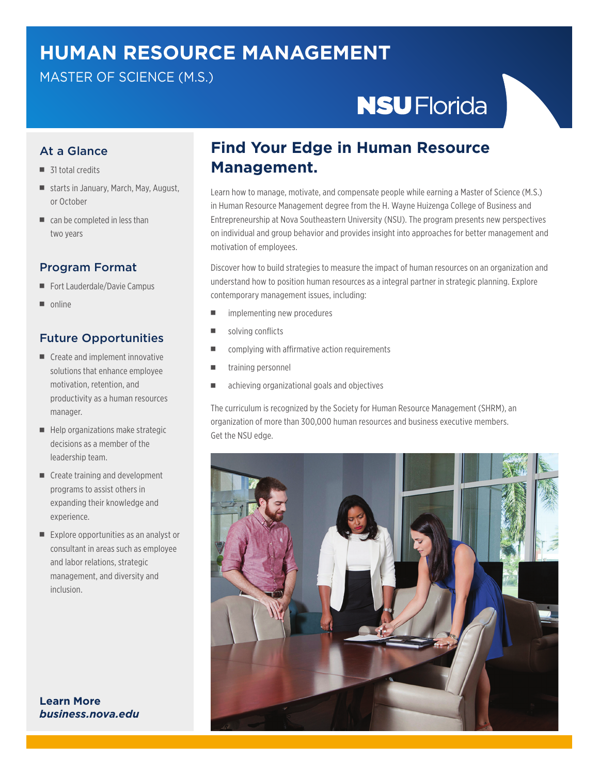## **HUMAN RESOURCE MANAGEMENT**

#### MASTER OF SCIENCE (M.S.)

# **NSU** Florida

#### At a Glance

- $\blacksquare$  31 total credits
- starts in January, March, May, August, or October
- $\blacksquare$  can be completed in less than two years

#### Program Format

- Fort Lauderdale/Davie Campus
- $\blacksquare$  online

#### Future Opportunities

- $\blacksquare$  Create and implement innovative solutions that enhance employee motivation, retention, and productivity as a human resources manager.
- Help organizations make strategic decisions as a member of the leadership team.
- Create training and development programs to assist others in expanding their knowledge and experience.
- Explore opportunities as an analyst or consultant in areas such as employee and labor relations, strategic management, and diversity and inclusion.

**Learn More** *business.nova.edu*

### **Find Your Edge in Human Resource Management.**

Learn how to manage, motivate, and compensate people while earning a Master of Science (M.S.) in Human Resource Management degree from the H. Wayne Huizenga College of Business and Entrepreneurship at Nova Southeastern University (NSU). The program presents new perspectives on individual and group behavior and provides insight into approaches for better management and motivation of employees.

Discover how to build strategies to measure the impact of human resources on an organization and understand how to position human resources as a integral partner in strategic planning. Explore contemporary management issues, including:

- $\blacksquare$  implementing new procedures
- $\blacksquare$  solving conflicts
- complying with affirmative action requirements
- training personnel
- <sup>n</sup> achieving organizational goals and objectives

The curriculum is recognized by the Society for Human Resource Management (SHRM), an organization of more than 300,000 human resources and business executive members. Get the NSU edge.